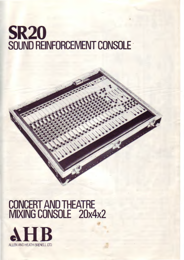# SR20 SOUND REINFORCEMENT CONSOLE

# CUNCERT AND THEATRE MIXING CONSOLE 20x4x2

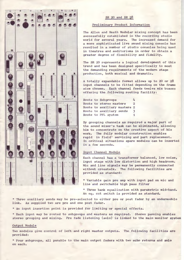

# SR 20 and SR 28

## Preliminary Product Information

The Allen and Heath Modular mixing concept has been successfully established in the recording studio world for several years. The increased demand for a more sophisticated live sound mixing console has resulted in a number of studio consoles being used in theatres and auditoriums in order to obtain a greater degree of flexibility and fidelity.

The SR 20 represents a logical development of this trend and has been designed specifically to meet the demanding requirements of the modern stage production, both musical and dramatic.

A totally expandable format allows up to 20 or 28 input channels to be fitted depending on the frame size chosen. Each channel feeds twelve mix busses offering the following routing facility:

|  | Route to Subgroups           | 4              |
|--|------------------------------|----------------|
|  | Route to stereo masters      | $\mathfrak{D}$ |
|  | Route to auxiliary masters 2 |                |
|  | Route to auxiliary sends     | -3             |
|  | Route to PFL system          |                |

By grouping channels as required a major part of the sound mixer's task can be eliminated, allowing him to concentrate on the creative aspect of his work. The fully modular construction enables rapid in field' servicing and part replacement. In critical situations spare modules can be inserted in a few seconds.

## Input Channel Module

Each channel has a transformer balanced, low noise, input stage with low distortion and high headroom. Mic and line signals may be permanently connected without crosstalk. The following facilities are provided as standard:

\* Variable gain pre amp with input pad on mic and line and switchable high pass filter

\* Three bank equalization witn parametric mid-band. An eq. cut switch is provided as standard.

\* Three auxiliary sends may be pre-selected to either pre or post fader by an undermodule link. As supplied two are pre and one post fader.

\* An input insertion point is provided for limiting or special effects.

\* Each input may be routed to subgroups and masters as required. Stereo panning enables stereo grouping and mixing. Pre fade listening (solo) is linked to the main monitor system

## Output Module

Two modules give control of left and right master outputs. The following facilities are provided:

\* Four subgroups, all panable to the main output faders with two echo returns and solo on each.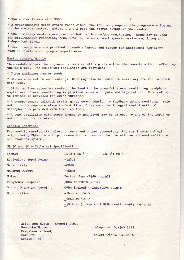\* Two master faders with SOLO

\* A comprehensive meter system reads either the four subgroups or the programme selected on the monitor system. Meters 1 and 2 read the stereo output in this mode.

\* Two auxiliary masters are provided both with pre-fade monitoring. These may be used for simultaneous recording, echo send, or an additional speaker system requiring an independent level.

\* Insertion points are provided on each subgroup and master for additional equipment such as limiters and graphic equalizers.

#### Master Control Module

This module allows the engineer to monitor all signals within the console without affecting the main mix. The following facilities are provided:

\* Three auxiliary master sends

\* Stereo echo return and routing. Echo may also be routed to auxiliary one for foldback with echo.

\* Eight monitor selectors control the feed to the powerful stereo monitoring headphone amplifier. Stereo monitoring is provided on main outputs and tape return. Echo return to monitor is provided for cuing purposes.

\* A comprehensive talkback system gives communication to foldback (stage monitors), main output and a separate stage to desk line if desired. An integral omnidirectional microphone is provided with level control.

\* A test oscillator with sweep frequency and level may be patched to any of the input or output insertion points.

#### Console Interface

Each module carries its relevant input and output connectors, the mic inputs and main output being XLRs. A multipin connector is provided for use with an optional multicore and stagebox system.

#### SR 20 and 28 - Technical Specification

| Format                    | SR 20: $20-4-2$                                  | SR $28: 28-4-2$ |  |
|---------------------------|--------------------------------------------------|-----------------|--|
| Equivalent Input Noise    | $-126dB$                                         |                 |  |
| Sensitivity               | $-80dB$                                          |                 |  |
| Maximum Output            | $+18dBm$                                         |                 |  |
| Noise                     | Better than -75dB overall                        |                 |  |
| <b>Frequency Response</b> | $30Hz$ to $20kHz$ + $1dB$                        |                 |  |
| Output Operating Level    | OdBm including insertion points                  |                 |  |
| Equalization              | $+16dB$ at $10kHz$                               |                 |  |
|                           | $+16dB$ at 100Hz                                 |                 |  |
|                           | +18dB at 1.8kHz to 7.5kHz continuously variable. |                 |  |

| Allen and Heath - Brenell Ltd., |                        |
|---------------------------------|------------------------|
| Pembroke House,                 | telephone: 01-340 3291 |
| Campsbourne Road.               |                        |
| Hornsey,                        | telex: 267727 BATGRP G |
| N <sub>8</sub><br>London,       |                        |